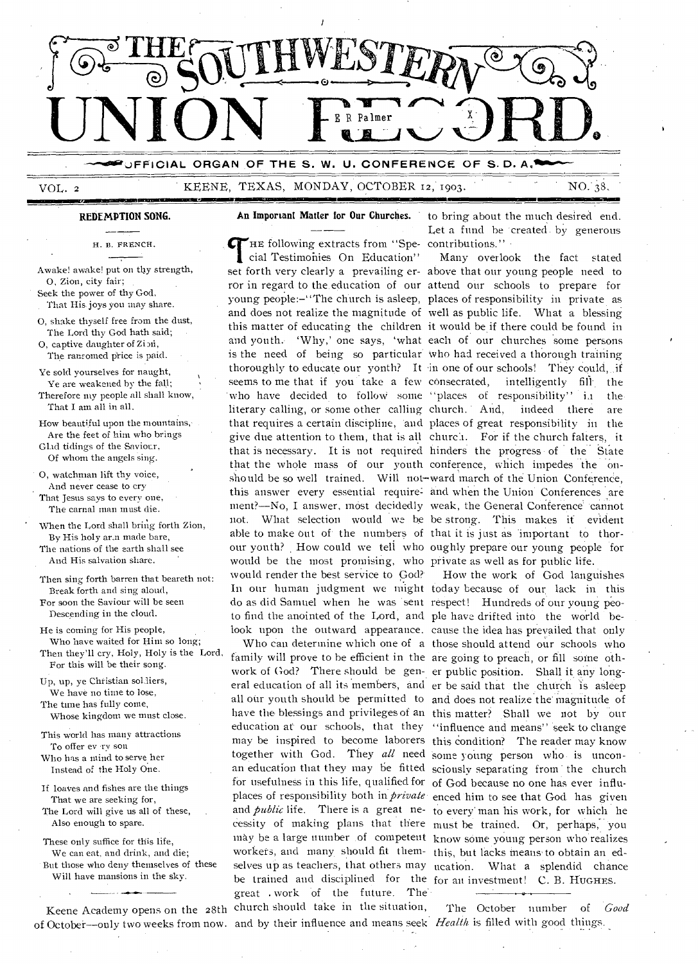

VOL. 2

immesmamormimmilizolingme

•111=MIIIMall

KEENE, TEXAS, MONDAY, OCTOBER 12, 1903. NO. 38,

**An Important Matter for Our Churches.** to bring about the much desired end. An Important Matter for Our Churches. to bring about the much desired end.<br>
The following extracts from "Spe-contributions."

H. B. FRENCH.

**REDEMPTION SONG.** 

Awake! awake! put on thy strength, 0, Zion, city fair; Seek the power of thy God,

That His. joys you may share.

0, shake thyself free from the dust, The Lord thy God hath said; 0, captive daughter of Zion,

The ransomed price is paid.

Ye sold yourselves for naught, Ye are weakened by the fall; Therefore my people all shall know, That I am all in all.

How beautiful upon the mountains, Are the feet of him who brings Glad tidings of the Saviour, Of whom the angels sing.

0, watchman lift thy voice, And never cease to cry That Jesus says to every one, The carnal man must die.

When the Lord shall bring forth Zion, By His holy ar.n made bare, The nations of the earth shall see And His salvation share.

Then sing forth barren that beareth not: Break forth and sing aloud, For soon the Saviour will be seen Descending in the cloud.

He is coming for His people, Who have waited for Him so long; Then they'll cry, Holy, Holy is the Lord, For this will be their song.

Up, up, ye Christian soldiers, We have no time to lose, The time has fully come, Whose kingdom we must close.

This world has many attractions To offer ev ry son Who has a mind to serve her

Instead of the Holy One.

If loaves and fishes are the things That we are seeking for, The Lord will give us all of these, Also enough to spare.

These only suffice for this life, We can eat, and drink, and die; But those who deny themselves of these Will have mansions in the sky.

of October—only two weeks from now. and by their influence and means seek Health is filled with good things.

cial Testimonies On Education" set forth very clearly a prevailing er-above that our young people need to ror in regard to the. education of our attend our schools to prepare for young people:-"The church is asleep, places of responsibility in private as and does not realize the magnitude of well as public life. What a blessing this matter of educating the children it would be if there could be found in and youth. 'Why,' one says, 'what each of our churches some persons is the need of being so particular Who had received a thorough training thoroughly to educate our yonth? It in one of our schools! They could, if seems to me that if you take a few consecrated, who have decided to follow some "places of responsibility" in the literary calling, or some other calling church. And, indeed there are that requires a certain discipline, 'and places of great responsibility in the give due attention to them, that is all churci. For if the church falters, it that is necessary. It is not required hinders the progress of the State that the whole mass of our youth conference, which impedes the onshould be so well trained. Will not-ward march of the Union Conference, this answer every essential require: and when the Union Conferences are ment?—No, I answer, most decidedly weak, the General Conference cannot not. What selection would we be he strong. This makes if evident able to make out of the numbers of that it is just as important to thorour youth? . How could we tell who oughly prepare our young people for would be the most promising, who private as well as for public life. would render the best service to God? In our human judgment we might today because of our lack in this do as did Samuel when he was 'sent respect! Hundreds of our young peoto find the anointed of the Lord, and ple have drifted into the world be-

family will prove to be efficient in the are going to preach, or fill some othwork of God? There should be gen-er public position. Shall it any longeral education of all its members, and er be said that the chtirch is asleep all our youth should be permitted to and does not realize the magnitude of have the blessings and privileges of an this matter? Shall we not by our education at our schools, that they "influence and means" seek to change may be inspired to become laborers this condition? The reader may know together with God. They all need some young person who is unconfor usefulness in this life, qualified for of God because no one has ever influworkers, and many should fit them-this, but lacks means to obtain an edbe trained and disciplined for the for an investment! C. B. HUGHES. great . work of the future. The Keene Academy opens on the 28th church should take in the situation,

Many overlook the fact stated intelligently fill the

look upon the outward appearance. cause the idea has prevailed that only Who can determine which one of a those should attend our schools who an education that they may be fitted sciously separating from the church places of responsibility both in *private* enced him to see that God has given and *public* life. There is a great ne-to every' man his work, for which he cessity of making plans that there must be trained. Or, perhaps, 'you may be a large number of competent know some young person who realizes selves up as teachers, that others may ucation. What a splendid chance How the work of God languishes

The October number of *Good*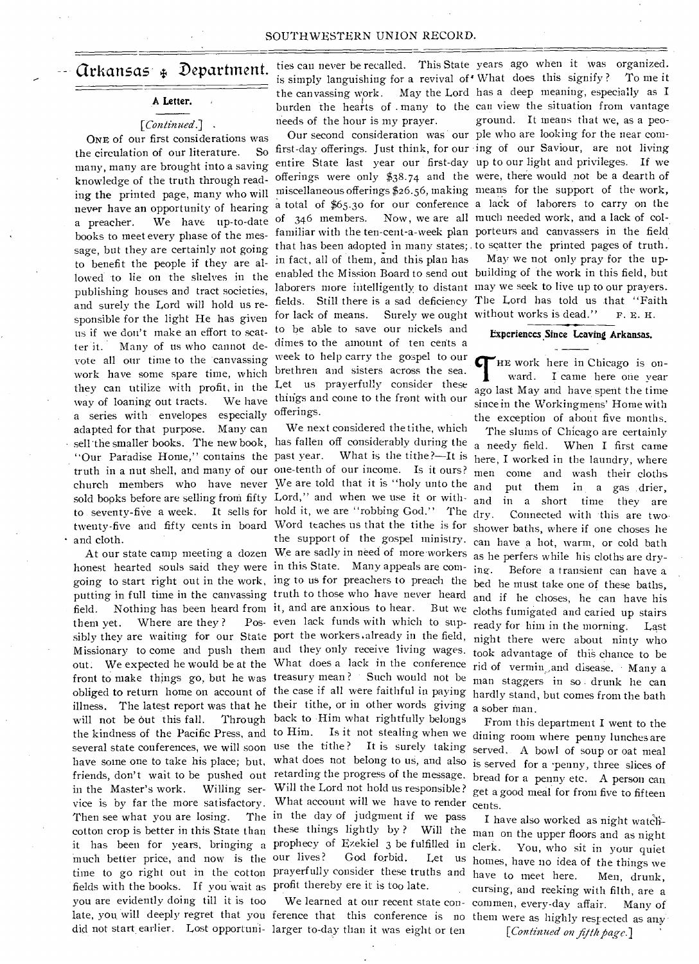#### **A Letter.**

#### *[Continued.] .*

work have some spare time, which brethren and sisters across the sea. a series with envelopes especially offerings. sold books before are selling from fifty Lord," and when we use it or with-ONE of our first considerations was the circulation of our literature. way of loaning out tracts. adapted for that purpose. Many can and cloth.

fields with the books. If you wait as profit thereby ere it is too late. late, you will deeply regret that you ference that this conference is no them were as highly respected as any them yet. Where are they? much better price, and now is the our lives? you are evidently doing till it is too

**Grkansas**  $\ast$  **Department.** ties can never be recalled. This State years ago when it was organized. needs of the hour is my prayer.

many, many are brought into a saving entire State last year our first-day up to our light and privileges. If we hands, many are stought through read-offerings were only \$38.74 and the were, there would not be a dearth of ing the printed page, many who will miscellaneous offerings \$26.56, making means for the support of the work, mg the print of page, many who wind a total of \$65.30 for our conference a lack of laborers to carry on the of 346 members. Now, we are all much needed work, and a lack of cola preacher. We have up-to-date of 346 members. Now, we-are all<br>books to meet every phase of the mes- familiar with the ten-cent-a-week plan sooks to meet every phase of the measurement and some adopted in many states; to scatter the printed pages of truth. to benefit the people if they are al- in fact, all of them, and this plan has lowed to lie on the shelves in the enabled the Mission Board to send out building of the work in this field, but publishing houses and tract societies, laborers more intelligently to distant may we seek to live up to our prayers. publishing houses and tract societies,<br>and surely the Lord will hold us re-<br> $\frac{1}{2}$  fields. Still there is a sad deficiency The Lord has told us that "Faith" sponsible for the light He has given for lack of means. Surely we ought without works is dead." F. E. H. us if we don't make an effort to scat- to be able to save our nickels and ter it. Many of us who cannot de-dimes to the amount of ten cents a vote all our time to the canvassing week to help carry the gospel to our they can utilize with profit, in the Let us prayerfully consider these We have things and come to the front with our books to meet every phase of the mes-<br>books to meet every phase of the mes-<br>maniform with the ten-cent-a-week plan porteurs and canvassers in the field.

We next considered the tithe, which sell the smaller books. The new book, has fallen off considerably during the "Our Paradise Home," contains the past year. What is the tithe ?-- It is truth in a nut shell, and many of our one-tenth of our income. Is it ours? church members who have never We are told that it is "holy unto the to seventy-five a week. It sells for hold it, we are "robbing God." The twenty-five and fifty cents in board Word teaches us that the tithe is for the support of the gospel ministry. At our state camp meeting a dozen We are sadly in need of more workers as he perfers while his cloths are dryhonest hearted souls said they were in this State. Many appeals are com-<br>ing. Before a transient can have a going to start right out in the work, ing to us for preachers to preach the bed he must take one of these baths, putting in full time in the canvassing truth to those who have never heard and if he choses, he can have his field. Nothing has been heard from it, and are anxious to hear. But we cloths fumigated and caried up stairs even lack funds with which to sup-ready for him in the morning. Last sibly they are waiting for our State port the workers already in the field, night there were about ninty who Missionary to come and push them and they only receive living wages. took advantage of this chance to be out. We expected he would be at the What does a lack in the conference rid of vermin, and disease. Many a front to make things go, but he was treasury mean? Such would not be man staggers in so drunk he can obliged to return home on account of the case if all were faithful in paying hardly stand, but comes from the bath illness. The latest report was that he their tithe, or in other words giving a sober man. will not be out this fall. Through back to Him what rightfully belongs the kindness of the Pacific Press, and to Him. Is it not stealing when we dining room where penny lunches are several state conferences, we will soon use the tithe? It is surely taking have some one to take his place; but, what does not belong to us, and also friends, don't wait to be pushed out retarding the progress of the message. in the Master's work. Willing ser- Will the Lord not hold us responsible? get a good meal for from five to fifteen vice is by far the more satisfactory. What account will we have to render cents. Then see what you are losing. The in the day of judgment if we pass cotton crop is better in this State than these things lightly by? Will the man on the upper floors and as night prophecy of Ezekiel 3 be fulfilled in our lives? God forbid. Let us time to go right out in the cotton prayerfully consider these truths and it has been for years, bringing a prophecy of Ezekiel 3 be fulfilled in clerk. You, who sit in your quiet

did not start earlier. Lost opportuni- larger to-day than it was eight or ten

is simply languishing for a revival of What does this signify? To me it the canvassing work. May the Lord has a deep meaning, especially as I burden the hearts of many to the can view the situation from vantage Our second consideration was our ple who are looking for the near com first-day offerings. Just think, for our ing of our Saviour, are not living ground. It means that we, as a peo-

May we not only pray for the up-

#### **Experiences Since Leaving Arkansas.**

HE work here in Chicago is onward. I came here one year ago last May and have spent the time since in the Workingmens' Home with the exception of about five months.

The slums of Chicago are certainly a needy field. When I first came here, I worked in the laundry, where men come and wash their cloths put them in a gas drier, and in a short time they are Connected with this are two. shower baths, where if one choses he can have a hot, warm, or cold bath

From this department I went to the served. A bowl of soup or oat meal is served for a •penny, three slices of bread for a penny etc. A person can

We learned at our recent state con-commen, every-day affair. Many of I have also worked as night watch-Let us homes, have no idea of the things we have to meet here. Men, drunk, cursing, and reeking with filth, are a

[Continued on fifth page.]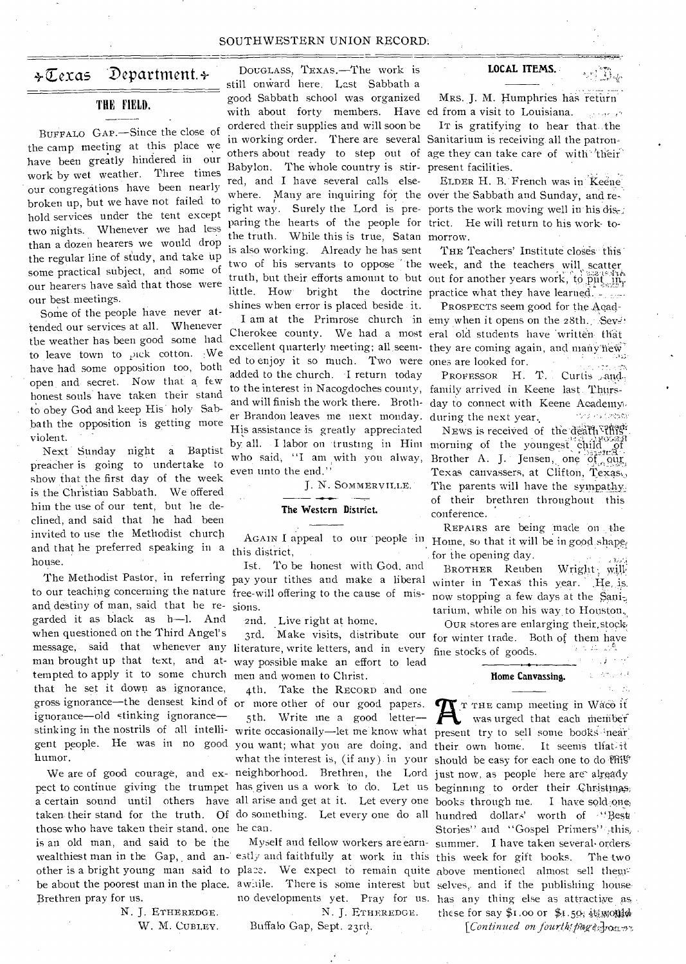#### SOUTHWESTERN UNION RECORD:

### $\div \overline{\mathbb{C}}$ exas Department. $\div$

#### THE FIELD.

BUFFALO GAP.—Since the close of the camp meeting at this place we have been greatly hindered in our work by wet weather. Three times our congregations have been nearly broken up, but we have not failed to hold services under the tent except two nights. Whenever we had less than a dozen hearers we would drop the regular line of study, and take up some practical subject, and some of our hearers have said that those were our best. meetings.

Some of the people have never attended our services at all. Whenever the weather has been good some had to leave town to pick cotton.  $W$ e have had some opposition too, both open and secret. Now that a few honest souls have taken their stand to obey God and keep His' holy Sabbath the opposition is getting more violent.

and that he preferred speaking in a this district, Next Sunday night a Baptist preacher is going to undertake to show that the first day of the week is the Christian Sabbath. We offered him the use of our tent, but he declined, and said that he had been invited to use the Methodist church house.

to our teaching concerning the nature free-will offering to the cause of misand destiny of man, said that he re- sions. message, said that whenever any literature, write letters, and in every man brought up that text, and at- way possible make an effort to lead tempted to apply it to some church men and women to Christ. garded it as black as h-1. And when questioned on the Third Angel's that he set it down as ignorance, gross ignorance—the densest kind of humor.

those who have taken their stand, one he can. is an old man, and said to be the Brethren pray for us.

> N. J. ETHEREDGE. W. M. CUBLEY.

with about forty members. Have ed from a visit to Louisiana. Babylon. The whole country is stir- present facilities. where. Many are inquiring for the over the Sabbath and Sunday, and right way. Surely the Lord is pre- ports the work moving well in his paring the hearts of the people for trict. He will return to his work-tothe truth. While this is true, Satan morrow. little. How bright the doctrine practice what they have learned. DOUGLASS, TEXAS.—The work is still onward here. Last Sabbath a good Sabbath school was organized ordered their supplies and will soon be red, and I have several calls elseis also working. Already he has sent shines when error is placed beside it.

Cherokee county. We had a most eral old students have written that ed to enjoy it so much. Two were ones are looked for. to the interest in Nacogdoches county, family arrived in Keene last. Thursand will finish the work there. Broth- day to connect with Keene Academy. er Brandon leaves me next monday. during the next year. by all. I labor on trusting in Him morning of the youngest child of added to the church. I return today His assistance is greatly appreciated even unto the end."

J. N. SOMMERVILLE.

#### **The Western District.**

Ist. To be honest with God, and The Methodist Pastor, in referring pay your tithes and make a liberal winter in Texas this year.

-2nd. Live right at home.

4th. Take the RECORD and one or more other of our good papers. 5th. Write me a good letter stinking in the nostrils of all intelli- write occasionally—let me know what present try to sell some books hear gent people. He was in no good you want; what you are doing, and their own home. It seems that it what the interest is, (if any) in your should be easy for each one to do  $\mathfrak{R}W$ We are of good courage, and ex- neighborhood. Brethren, the Lord just now, as people here are already pect to continue giving the trumpet has given us a work to do. Let us beginning to order their Christinas; a certain sound until others have all arise and get at it. Let every one books through me. I have sold one; gross ignorance—the densest kind of or more other of our good papers.<br>
ignorance—old stinking ignorance— 5th. Write me a good letter—  $\bigcap$  was urged that each member taken their stand for the truth. Of do something. Let every one do all hundred dollars' worth of "Best

N. J. ETHEREDGE. Buffalo Gap, Sept. 23rd.

#### **LOCAL ITEMS.**

Mrs. J. M. Humphries has return فراغيزيان

•

It is gratifying to hear that the in working order. There are several Sanitarium is receiving all the patronothers about ready to step out of age they can take care of with 'their'

ELDER H. B. French was in Keene

THE Teachers' Institute closes this two of his servants to oppose the week, and the teachers will scatter truth, but their efforts amount to but out for another years work, to put, it is the truth, but their efforts amount to but out for another years work, to put, it is

PROSPECTS seem good for the Acad-I am at the Primrose church in emy when it opens on the 28th. Sev. excellent quarterly meeting; all seem- they are coming again, and many hew es are looked for.<br>Professor H. T. Curtis an

interacións fondada NEWS is received of the death "This" by an. I have on trusting in Him morning of the youngest child of  $\frac{1.354 \text{ Hz}}{1.60 \text{ Hz}}$  who said, "I am with you alway, Brother A. J. Jensen, one  $\frac{0.544 \text{ Hz}}{1.60 \text{ Hz}}$ Texas canvassers, at Clifton, Texas,, The parents will have the sympathy: of their brethren throughout this conference.

AGAIN I appeal to our people in Home, so that it will be in good shapefully REPAIRS are being made on the . for the opening day.  $\mathcal{C} \subset \mathcal{C}$ 

BROTHER Reuben Wright will now stopping a few days at the tarium, while on his way to Houston,

OUR stores are enlarging their.stock, 3rd. Make visits, distribute our for winter trade. Both of them have • fine stocks of goods. ÷

#### **Home Canvassing.**

 $\Delta$   $\sim$ 

wealthiest man in the Gap, and an- estly and faithfully at work in this this week for gift books. The two weattinest man in the Gap, and an-estry and faithfully at work in this this week for gift books. The two<br>other is a bright young man said to place. We expect to remain quite above mentioned almost sell them. be about the poorest man in the place. awnile. There is some interest but selves, and if the publishing house Stories" and "Gospel Primers" this, Myself and fellow workers are earn-summer. I have taken several ordersno developments yet. Pray for us. has any thing else as attractive as, these for say  $$1.00$  or  $$1.50$  it monich

*[Continued on-fourthspage]voissi*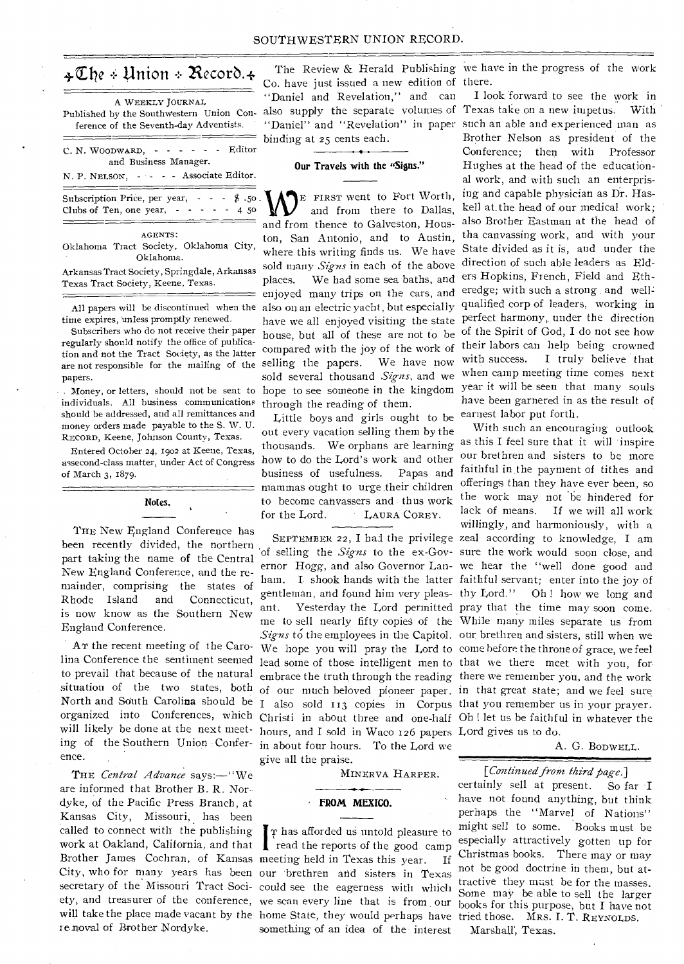#### SOUTHWESTERN UNION RECORD.

## $\div \mathbb{C}$ he  $\div$  Union  $\div$  Record.  $\div$

A WEEKLY JOURNAL Published by the Southwestern Union Conference of the Seventh-day Adventists.

|  | $C. N. WooowARD, - - - - - - - - Editor$ |                       |  |  |  |  |
|--|------------------------------------------|-----------------------|--|--|--|--|
|  |                                          | and Business Manager. |  |  |  |  |

N. P. NELSON, - - - - Associate Editor.

| Subscription Price, per year, $\cdot$ - $\cdot$ \$ .50. |  |  |  |  |  |
|---------------------------------------------------------|--|--|--|--|--|
| Clubs of Ten, one year, $- \cdot - \cdot 450$           |  |  |  |  |  |

AGENTS: Oklahoma Tract Society, Oklahoma City, Oklahoma.

Arkansas Tract Society, Springdale, Arkansas Texas Tract Society, Keene, Texas.

All papers will be discontinued when the time expires, unless promptly renewed.

Subscribers who do not receive their paper regularly should notify the office of publication and not the Tract Society, as the latter papers.

individuals. All business communications should be addressed, and all remittances and money orders made payable to the S. W. U. RECORD, Keene, Johnson County, Texas.

Entered October 24, 1902 at Keene, Texas, assecond-class matter, under Act of Congress of March 3, 1879.

## Notes.

THE New England Conference has been recently divided, the northern part taking the name of the Central New England Conference, and the remainder, comprising the states of Rhode Island and Connecticut, is now know as the Southern New England Conference.

AT the recent meeting of the Caroto prevail that because of the natural situation of the two states, both North and Sduth Carolina should be organized into Conferences, which will likely be done at the next meeting of the Southern Union Conference.

THE *Central Advance* says:—"We are informed that Brother B. R. Nordyke, of the Pacific Press Branch, at Kansas City, Missouri, has been called to connect with the publishing work at Oakland, California, and that Brother James Cochran, of Kansas meeting held in Texas this year. If City, who for many years has been our brethren and sisters in Texas secretary of the Missouri Tract Soci-could see the eagerness with which will take the place made vacant by the home State, they would perhaps have tried those. Mrs. I. T. REYNOLDS. re noval of Brother Nordyke.

Co. have just issued a new edition of there. "Daniel and Revelation," and can binding at 25 cents each.

#### **Our Travels with the "Signs."**

are not responsible for the mailing of the selling the papers. We have now . Money, or letters, should not be sent to hope to see someone in the kingdom E FIRST went to Fort Worth, and from there to Dallas, and from thence to Galveston, Houston, San Antonio, and to Austin, where this writing finds us. We have sold many *Signs* in each of the above places. We had some sea baths, and enjoyed many trips on the cars, and also on an electric yacht, but especially have we all enjoyed visiting the state house, but all of these are not to be compared with the joy of the work of sold several thousand *Signs,* and we through the reading of them.

Little boys and girls ought to be earnest labor put forth. out every vacation selling them by the thousands. We orphans are learning how to do the Lord's work and other business of usefulness. Papas and mammas ought to urge their children **to** become canvassers and thus work for the Lord. LAURA COREY.

hours, and **I** sold in Waco 126 papers Lord gives us to do. in about four hours. To the Lord we give all the praise.

MINERVA HARPER.

## **FROM MEXICO.**

I read the reports of the good camp T has afforded us untold pleasure to something of an idea of the interest

The Review & Herald Publishing we have in the progress of the work

also supply the separate volumes of Texas take on a new impetus. With "Daniel" and "Revelation" in paper such an able and experienced man as I look forward to see the work in Brother Nelson as president of the Conference; then with Professor Hughes at the head of the educational work, and with such an enterprising and capable physician as Dr. Haskell at. the head of our medical work; also Brother Eastman at the head of tha canvassing work, and with your State divided as it is, and under the direction of such able leaders as Elders Hopkins, French, Field and Etheredge; with such a strong and well qualified corp of leaders, working in perfect harmony, under the direction of the Spirit of God, I do not see how their labors can help being crowned with success. I truly believe that when camp meeting time comes next year it will be seen that many souls have been garnered in as the result of

lina Conference the sentiment seemed lead some of those intelligent men to that we there meet with you, for SEPTEMBER 22, I had the privilege zeal according to knowledge, I am 'of selling the *Signs* to the ex-Gov-sure the work would soon close, and ernor Hogg, and also Governor Lan-we hear the "well done good and ham. I. shook hands with the latter faithful servant; enter into the joy of gentleman, and found him very pleas-thy Lord." Oh ! how we long and ant. Yesterday the Lord permitted pray that the time may soon come. me to sell nearly fifty copies of the While many miles separate us from *Signs* to the employees in the Capitol. our brethren and sisters, still when we We hope you will pray the Lord to come before the throne of grace, we feel embrace the truth through the reading there we remember you, and the work of our much beloved pioneer paper. in that great state; and we feel sure I also sold 113 copies in Corpus that you remember us in your prayer. Christi in about three and one-half Oh ! let us be faithful in whatever the With such an encouraging outlook as this I feel sure that it will inspire our brethren and sisters to be more faithful in.the payment of tithes and offerings than they have ever been, so the work may not be hindered for lack of means. If we will all work willingly., and harmoniously, with a

A. G. BODWELL.

#### *[Continued from third page.]*

secretary of the mission reflect Social See the eagerness with which Some may be able to sell the larger ety, and treasurer of the conference, we scan every line that is from our books for this purpose. but I have not certainly sell at present. So far **I**  have not found anything, but think perhaps the "Marvel of Nations" might sell to some. Books must be especially attractively gotten up for Christmas books. There may or may not be good doctrine in them, but attractive they must be for the masses.<br>Some may be able to sell the larger books for this purpose, but I have not

Marshall', Texas.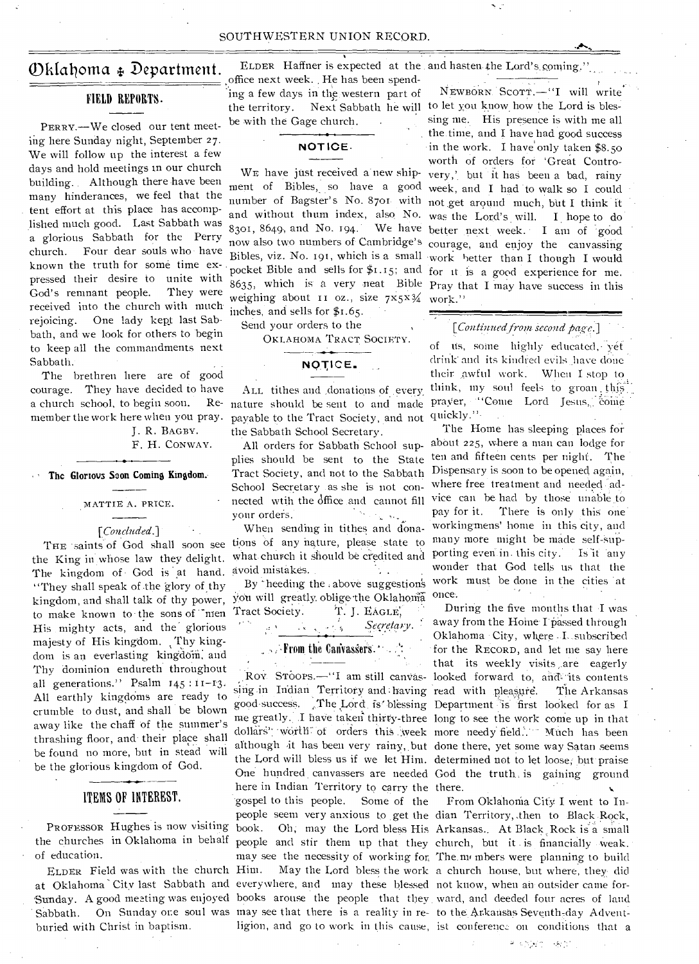## Oklahoma & Department.

#### FIELD REPORTS.

PERRY.—We closed our tent meeting here Sunday night, September 27. We will follow up the interest a few days and hold meetings in our church building. Although there have been many hinderances, we feel that the tent effort at this place has accomplished much good. Last Sabbath was a glorious Sabbath for the Perry church. Four dear souls who have known the truth for some time expressed their desire to unite with God's remnant people. They were received into the church with much rejoicing. One lady kept last Sabbath, and we look for others to begin to keep all the commandments next Sabbath.

The brethren here are of good courage. They have decided to have a church school, to begin soon. member the work here when you pray.

J. R. BAGBY. F. H. CONWAY.

# The Glorious Soon Coming Kingdom.

MATTIE A. PRICE.

*[Concluded.]* - THE saints of God shall soon see the King in whose law they delight. The kingdom of God is at hand. "They shall speak of the glory of thy to make known to the sons of  $\mathcal{L}_{\text{mean}}$  Tract Society. T. J. EAGLE, His mighty acts, and the glorious majesty of His kingdom. Thy kingdom is an everlasting kingdom, and Thy dominion endureth throughout all generations." Psalm 145:11-13. All earthly kingdoms are ready to crumble to dust, and shall be blown away like the chaff of the summer's thrashing floor, and their place shall be found no more, but in stead will be the glorious kingdom of God.

#### ITEMS OF INTEREST.

PROFESSOR Hughes is now visiting of education.

ELDER Field was with the church buried with Christ in baptism.

office next week.. He has been spending a few days in the western part of the territory. Next Sabbath he will to let you know how the Lord is blesbe with the Gage church.

#### **NOTICE-**

ment of Bibles, so have a good week, and I had to walk so I could number of Bagster's No. 8701 with not get around much, but I think it and without thum index, also No. was the Lord's will. I hope to do now also two numbers of Cambridge's courage, and enjoy the canvassing Bibles, viz. No. 191, which is a small work better than I though I would pocket Bible and sells for  $$1.15$ ; and for it is a good experience for me.  $8635$ , which is a very neat Bible Pray that I may have success in this weighing about 11 oz., size  $7x5x\frac{3}{4}$  work." WE have just received a new ship- $8301, 8649, and No. 194.$ inches, and sells for \$1.65.

Send your orders to the

OKLAHOMA TRACT SOCIETY.

## NOTICE.

ALE tithes and .donations of.every, nature should be sent to and made prayer, "Come Lord Jesus, come payable to the Tract Society, and not quickly." the Sabbath School Secretary.

plies should be sent to the State ten and fifteen cents per night. The Tract Society, and not to the Sabbath Dispensary is soon to be opened again, School Secretary as she is not connected wtih the dffice and cannot fill your orders.  $\Delta_{\rm{A}}$ ng isab

When sending in tithes and donations of any nature, please state to avoid mistakes.  $\frac{1}{2}$  .

kingdom, and shall talk of thy power, you will greatly oblige the Oklahoma  $S$ *ecretary*.  $\sim -5$ 

## $\Box$   $\rightarrow$  From the Canvassers.  $\Box$

the churches in Oklahoma in behalf people and stir them up that they church, but it is financially weak. at Oklahoma' City last Sabbath and everywhere, and may these blessed not know, when an- outsider came for-Sabbath. On Sunday one soul was may see that there is a reality in re- to the Arkansas Seventh-day Advent-ROV STOOPS.— I am still canvas-looked forward to, and its contents<br>sing in Indian Territory and having read with pleasure. The Arkansas good-success. The Lord is blessing Department is first looked for as I me greatly. I have taken thirty-three long to see the work come up in that the Lord will bless us if we let Him. determined not to let loose; but praise here in Indian Territory to carry the there. 'gospel to this people. Some of the ligion, and go to work in this cause, ist conference on conditions that a

ELDER Haffner is expected at the . and hasten.the Lord's. coming."

NEWBORN SCOTT.-"I will write sing me. His presence is with me all the.time, and I have had good success in the work. I have' only taken \$8.50 worth of orders for `Great Controvery,' but it has been a bad, rainy We have better next week. I am of good

#### *[Conlinuedfrom second page.]*

y*e*t its, some highly educated,- yet drink: drink- and its kindred evils have done their awful work. When I stop to think, my soul feels to groan this

All orders for Sabbath School sup- about 225, where a man can lodge for what church it should be credited and porting even in this city. Is it 'any By heeding the above suggestions work must be done in the cities at The Home has sleeping places for where free treatment and needed advice can be had by those unable to<br>pay for it. There is only this one There is only this one. workingmens' home in this city, and many more might be made self-Supwonder that God tells us that the once.

Roy. STOOPS.—"I am still canvas- looked forward to, and its contents worth of orders this week more needy field. Much has been although it has been very rainy, but done there, yet some way Satan seems One hundred canvassers are needed God the truth is gaining ground During the five months that •I was away from the Hoine I passed through Oklahoma City, where \_I...subscribed for the RECORD, and let me say here that its weekly visits are eagerly

Sunday. A good meeting was enjoyed books arouse the people that they ward, and deeded four acres of land people seem very anxious to get the dian Territory, then to Black Rock, book. Oh, may the Lord bless His Arkansas. At Black Rock is a small may see the necessity of working for, The,mi mbers were planning to build Him. May the Lord bless the work a church house, but where, they did From Oklahonia City I went to In-

# shown leads